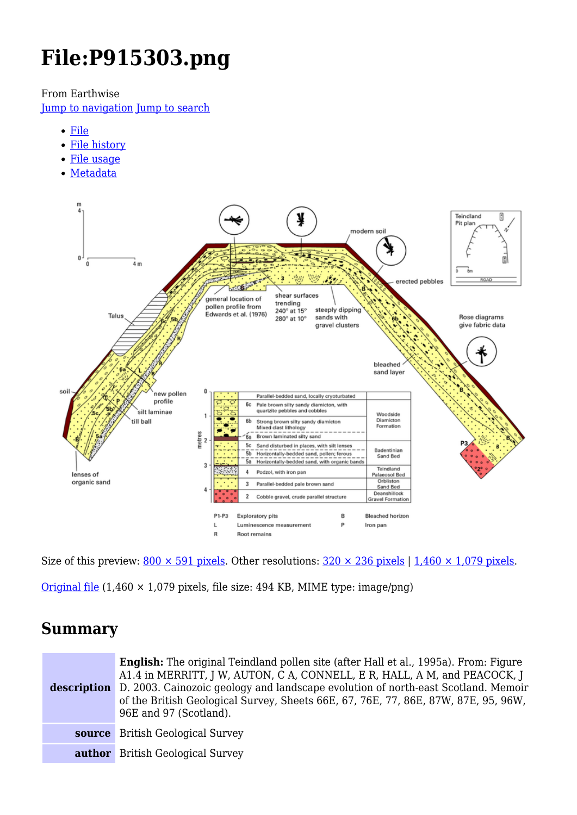# **File:P915303.png**

From Earthwise

[Jump to navigation](#page--1-0) [Jump to search](#page--1-0)

- [File](#page--1-0)
- [File history](#page--1-0)
- [File usage](#page--1-0)
- [Metadata](#page--1-0)



Size of this preview:  $800 \times 591$  pixels. Other resolutions:  $320 \times 236$  pixels | 1,460  $\times$  1,079 pixels.

[Original file](http://earthwise.bgs.ac.uk/images/6/63/P915303.png) (1,460 × 1,079 pixels, file size: 494 KB, MIME type: image/png)

## **Summary**

| <b>English:</b> The original Teindland pollen site (after Hall et al., 1995a). From: Figure<br>A1.4 in MERRITT, J W, AUTON, C A, CONNELL, E R, HALL, A M, and PEACOCK, J<br><b>description</b> D. 2003. Cainozoic geology and landscape evolution of north-east Scotland. Memoir<br>of the British Geological Survey, Sheets 66E, 67, 76E, 77, 86E, 87W, 87E, 95, 96W,<br>96E and 97 (Scotland). |
|--------------------------------------------------------------------------------------------------------------------------------------------------------------------------------------------------------------------------------------------------------------------------------------------------------------------------------------------------------------------------------------------------|
| <b>source</b> British Geological Survey                                                                                                                                                                                                                                                                                                                                                          |
| <b>author</b> British Geological Survey                                                                                                                                                                                                                                                                                                                                                          |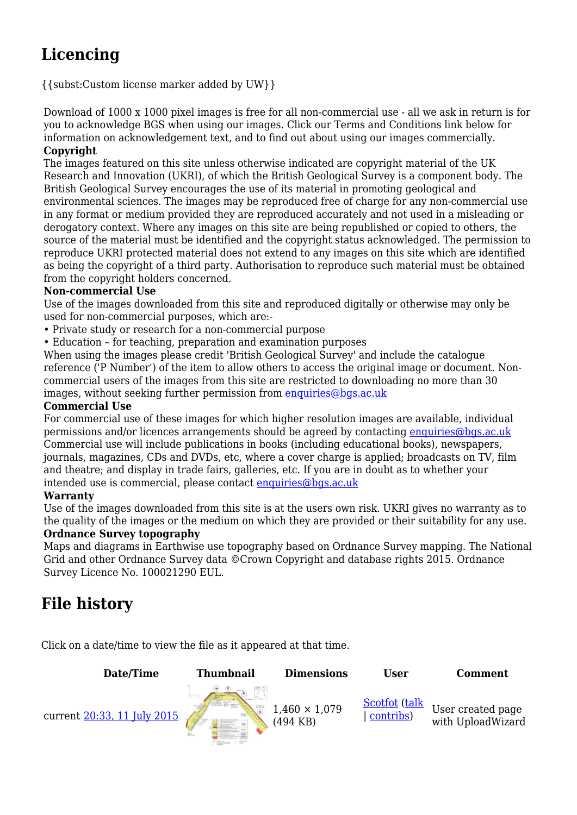## **Licencing**

{{subst:Custom license marker added by UW}}

Download of 1000 x 1000 pixel images is free for all non-commercial use - all we ask in return is for you to acknowledge BGS when using our images. Click our Terms and Conditions link below for information on acknowledgement text, and to find out about using our images commercially. **Copyright**

The images featured on this site unless otherwise indicated are copyright material of the UK Research and Innovation (UKRI), of which the British Geological Survey is a component body. The British Geological Survey encourages the use of its material in promoting geological and environmental sciences. The images may be reproduced free of charge for any non-commercial use in any format or medium provided they are reproduced accurately and not used in a misleading or derogatory context. Where any images on this site are being republished or copied to others, the source of the material must be identified and the copyright status acknowledged. The permission to reproduce UKRI protected material does not extend to any images on this site which are identified as being the copyright of a third party. Authorisation to reproduce such material must be obtained from the copyright holders concerned.

#### **Non-commercial Use**

Use of the images downloaded from this site and reproduced digitally or otherwise may only be used for non-commercial purposes, which are:-

- Private study or research for a non-commercial purpose
- Education for teaching, preparation and examination purposes

When using the images please credit 'British Geological Survey' and include the catalogue reference ('P Number') of the item to allow others to access the original image or document. Noncommercial users of the images from this site are restricted to downloading no more than 30 images, without seeking further permission from [enquiries@bgs.ac.uk](mailto:enquiries@bgs.ac.uk)

#### **Commercial Use**

For commercial use of these images for which higher resolution images are available, individual permissions and/or licences arrangements should be agreed by contacting [enquiries@bgs.ac.uk](mailto:enquiries@bgs.ac.uk) Commercial use will include publications in books (including educational books), newspapers, journals, magazines, CDs and DVDs, etc, where a cover charge is applied; broadcasts on TV, film and theatre; and display in trade fairs, galleries, etc. If you are in doubt as to whether your intended use is commercial, please contact [enquiries@bgs.ac.uk](mailto:enquiries@bgs.ac.uk)

#### **Warranty**

Use of the images downloaded from this site is at the users own risk. UKRI gives no warranty as to the quality of the images or the medium on which they are provided or their suitability for any use.

#### **Ordnance Survey topography**

Maps and diagrams in Earthwise use topography based on Ordnance Survey mapping. The National Grid and other Ordnance Survey data ©Crown Copyright and database rights 2015. Ordnance Survey Licence No. 100021290 EUL.

## **File history**

Click on a date/time to view the file as it appeared at that time.

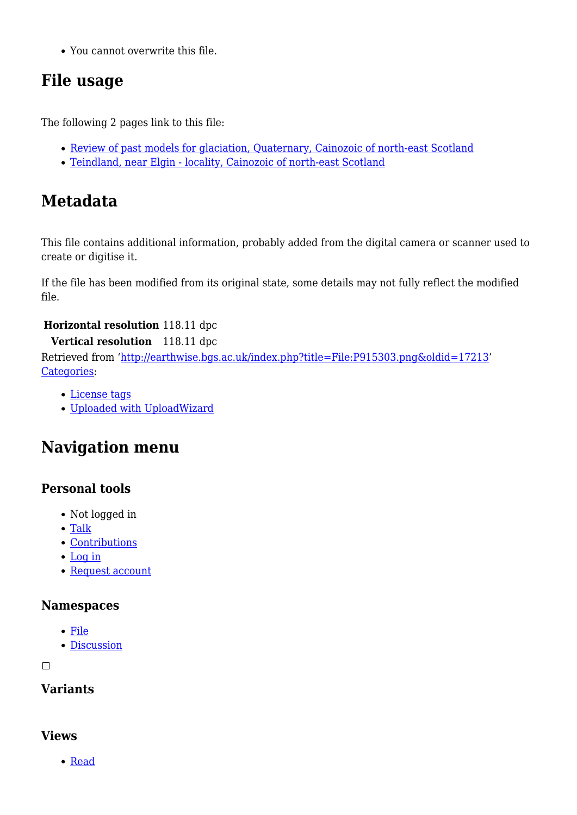You cannot overwrite this file.

## **File usage**

The following 2 pages link to this file:

- [Review of past models for glaciation, Quaternary, Cainozoic of north-east Scotland](http://earthwise.bgs.ac.uk/index.php/Review_of_past_models_for_glaciation,_Quaternary,_Cainozoic_of_north-east_Scotland)
- [Teindland, near Elgin locality, Cainozoic of north-east Scotland](http://earthwise.bgs.ac.uk/index.php/Teindland,_near_Elgin_-_locality,_Cainozoic_of_north-east_Scotland)

## **Metadata**

This file contains additional information, probably added from the digital camera or scanner used to create or digitise it.

If the file has been modified from its original state, some details may not fully reflect the modified file.

#### **Horizontal resolution** 118.11 dpc

#### **Vertical resolution** 118.11 dpc

Retrieved from ['http://earthwise.bgs.ac.uk/index.php?title=File:P915303.png&oldid=17213'](http://earthwise.bgs.ac.uk/index.php?title=File:P915303.png&oldid=17213) [Categories:](http://earthwise.bgs.ac.uk/index.php/Special:Categories)

- [License tags](http://earthwise.bgs.ac.uk/index.php/Category:License_tags)
- [Uploaded with UploadWizard](http://earthwise.bgs.ac.uk/index.php/Category:Uploaded_with_UploadWizard)

## **Navigation menu**

#### **Personal tools**

- Not logged in
- [Talk](http://earthwise.bgs.ac.uk/index.php/Special:MyTalk)
- [Contributions](http://earthwise.bgs.ac.uk/index.php/Special:MyContributions)
- [Log in](http://earthwise.bgs.ac.uk/index.php?title=Special:UserLogin&returnto=File%3AP915303.png&returntoquery=action%3Dmpdf)
- [Request account](http://earthwise.bgs.ac.uk/index.php/Special:RequestAccount)

#### **Namespaces**

- [File](http://earthwise.bgs.ac.uk/index.php/File:P915303.png)
- [Discussion](http://earthwise.bgs.ac.uk/index.php?title=File_talk:P915303.png&action=edit&redlink=1)

 $\Box$ 

#### **Variants**

#### **Views**

[Read](http://earthwise.bgs.ac.uk/index.php/File:P915303.png)